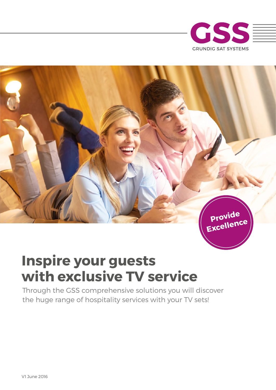



# **Inspire your guests with exclusive TV service**

Through the GSS comprehensive solutions you will discover the huge range of hospitality services with your TV sets!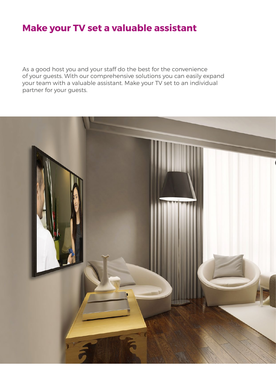### **Make your TV set a valuable assistant**

As a good host you and your staff do the best for the convenience of your guests. With our comprehensive solutions you can easily expand your team with a valuable assistant. Make your TV set to an individual partner for your guests.

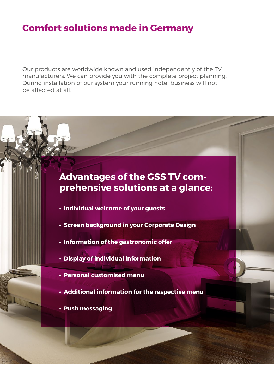### **Comfort solutions made in Germany**

Our products are worldwide known and used independently of the TV manufacturers. We can provide you with the complete project planning. During installation of our system your running hotel business will not be affected at all.

#### **Advantages of the GSS TV comprehensive solutions at a glance:**

- **Individual welcome of your guests**
- **Screen background in your Corporate Design**
- **Information of the gastronomic offer**
- **Display of individual information**
- **Personal customised menu**
- **Additional information for the respective menu**
- **Push messaging**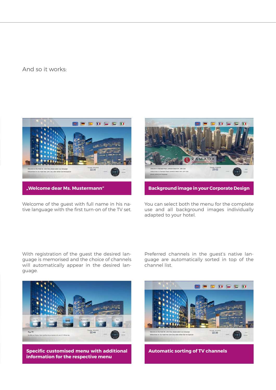#### And so it works:



Welcome of the guest with full name in his native language with the first turn-on of the TV set.



You can select both the menu for the complete use and all background images individually adapted to your hotel.

With registration of the guest the desired language is memorised and the choice of channels will automatically appear in the desired language.

Preferred channels in the guest's native language are automatically sorted in top of the channel list.



**Specific customised menu with additional information for the respective menu**



**Automatic sorting of TV channels**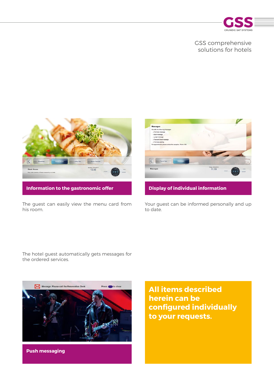

#### GSS comprehensive solutions for hotels



The guest can easily view the menu card from his room.



**Display of individual information**

Your guest can be informed personally and up to date.

The hotel guest automatically gets messages for the ordered services.



**Push messaging**

**All items described herein can be confgured individually to your requests.**